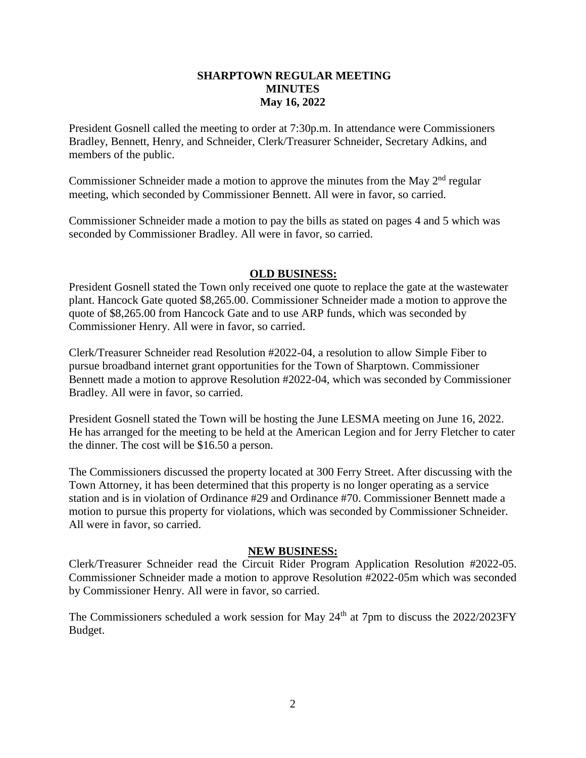## **SHARPTOWN REGULAR MEETING MINUTES May 16, 2022**

President Gosnell called the meeting to order at 7:30p.m. In attendance were Commissioners Bradley, Bennett, Henry, and Schneider, Clerk/Treasurer Schneider, Secretary Adkins, and members of the public.

Commissioner Schneider made a motion to approve the minutes from the May  $2<sup>nd</sup>$  regular meeting, which seconded by Commissioner Bennett. All were in favor, so carried.

Commissioner Schneider made a motion to pay the bills as stated on pages 4 and 5 which was seconded by Commissioner Bradley. All were in favor, so carried.

## **OLD BUSINESS:**

President Gosnell stated the Town only received one quote to replace the gate at the wastewater plant. Hancock Gate quoted \$8,265.00. Commissioner Schneider made a motion to approve the quote of \$8,265.00 from Hancock Gate and to use ARP funds, which was seconded by Commissioner Henry. All were in favor, so carried.

Clerk/Treasurer Schneider read Resolution #2022-04, a resolution to allow Simple Fiber to pursue broadband internet grant opportunities for the Town of Sharptown. Commissioner Bennett made a motion to approve Resolution #2022-04, which was seconded by Commissioner Bradley. All were in favor, so carried.

President Gosnell stated the Town will be hosting the June LESMA meeting on June 16, 2022. He has arranged for the meeting to be held at the American Legion and for Jerry Fletcher to cater the dinner. The cost will be \$16.50 a person.

The Commissioners discussed the property located at 300 Ferry Street. After discussing with the Town Attorney, it has been determined that this property is no longer operating as a service station and is in violation of Ordinance #29 and Ordinance #70. Commissioner Bennett made a motion to pursue this property for violations, which was seconded by Commissioner Schneider. All were in favor, so carried.

## **NEW BUSINESS:**

Clerk/Treasurer Schneider read the Circuit Rider Program Application Resolution #2022-05. Commissioner Schneider made a motion to approve Resolution #2022-05m which was seconded by Commissioner Henry. All were in favor, so carried.

The Commissioners scheduled a work session for May  $24<sup>th</sup>$  at 7pm to discuss the 2022/2023FY Budget.